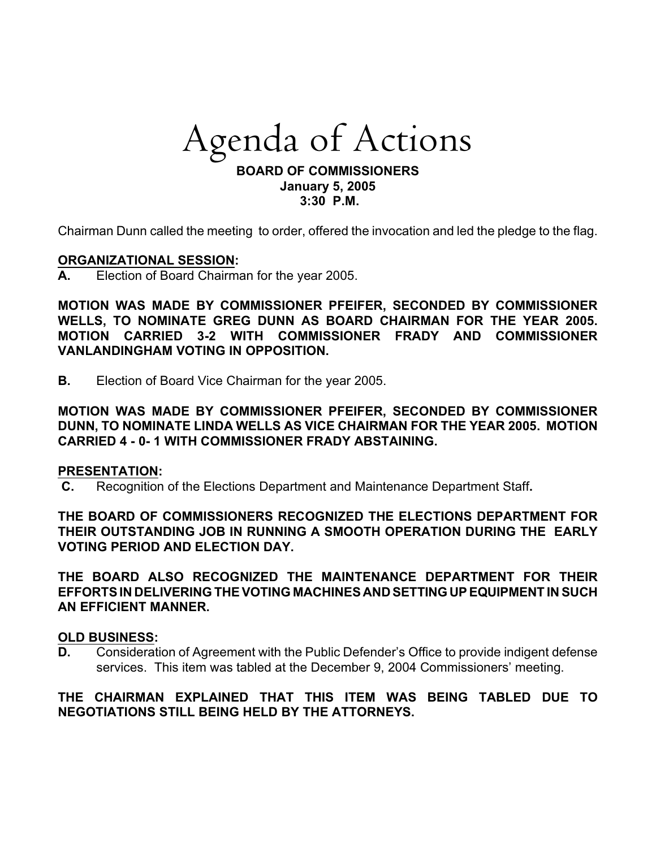# Agenda *of Actions*

#### **BOARD OF COMMISSIONERS January 5, 2005 3:30 P.M.**

Chairman Dunn called the meeting to order, offered the invocation and led the pledge to the flag.

### **ORGANIZATIONAL SESSION:**

**A.** Election of Board Chairman for the year 2005.

**MOTION WAS MADE BY COMMISSIONER PFEIFER, SECONDED BY COMMISSIONER WELLS, TO NOMINATE GREG DUNN AS BOARD CHAIRMAN FOR THE YEAR 2005. MOTION CARRIED 3-2 WITH COMMISSIONER FRADY AND COMMISSIONER VANLANDINGHAM VOTING IN OPPOSITION.**

**B.** Election of Board Vice Chairman for the year 2005.

**MOTION WAS MADE BY COMMISSIONER PFEIFER, SECONDED BY COMMISSIONER DUNN, TO NOMINATE LINDA WELLS AS VICE CHAIRMAN FOR THE YEAR 2005. MOTION CARRIED 4 - 0- 1 WITH COMMISSIONER FRADY ABSTAINING.**

#### **PRESENTATION:**

**C.** Recognition of the Elections Department and Maintenance Department Staff**.**

**THE BOARD OF COMMISSIONERS RECOGNIZED THE ELECTIONS DEPARTMENT FOR THEIR OUTSTANDING JOB IN RUNNING A SMOOTH OPERATION DURING THE EARLY VOTING PERIOD AND ELECTION DAY.** 

**THE BOARD ALSO RECOGNIZED THE MAINTENANCE DEPARTMENT FOR THEIR EFFORTS IN DELIVERING THE VOTING MACHINES AND SETTING UP EQUIPMENT IN SUCH AN EFFICIENT MANNER.**

#### **OLD BUSINESS:**

**D.** Consideration of Agreement with the Public Defender's Office to provide indigent defense services. This item was tabled at the December 9, 2004 Commissioners' meeting.

# **THE CHAIRMAN EXPLAINED THAT THIS ITEM WAS BEING TABLED DUE TO NEGOTIATIONS STILL BEING HELD BY THE ATTORNEYS.**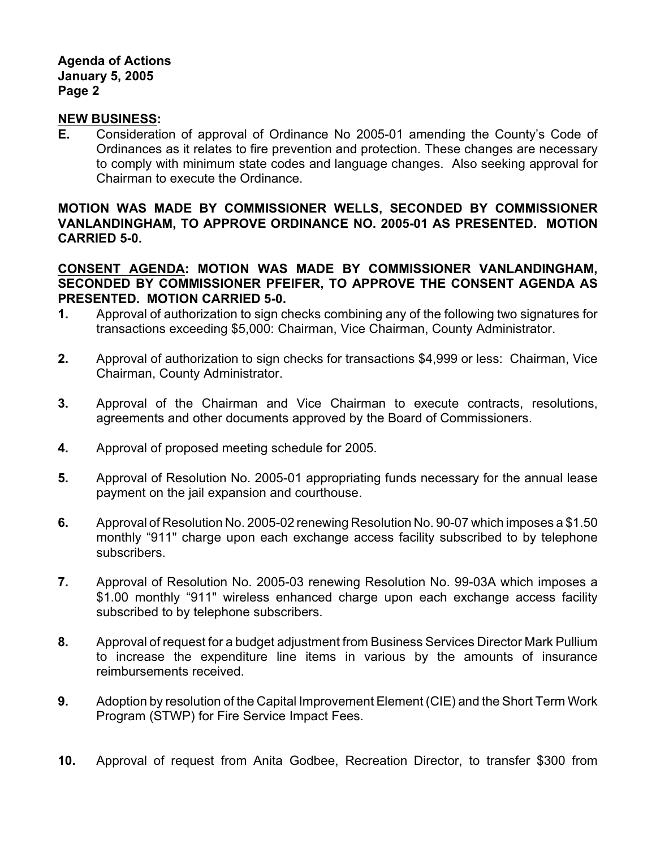## **Agenda of Actions January 5, 2005 Page 2**

### **NEW BUSINESS:**

**E.** Consideration of approval of Ordinance No 2005-01 amending the County's Code of Ordinances as it relates to fire prevention and protection. These changes are necessary to comply with minimum state codes and language changes. Also seeking approval for Chairman to execute the Ordinance.

# **MOTION WAS MADE BY COMMISSIONER WELLS, SECONDED BY COMMISSIONER VANLANDINGHAM, TO APPROVE ORDINANCE NO. 2005-01 AS PRESENTED. MOTION CARRIED 5-0.**

# **CONSENT AGENDA: MOTION WAS MADE BY COMMISSIONER VANLANDINGHAM, SECONDED BY COMMISSIONER PFEIFER, TO APPROVE THE CONSENT AGENDA AS PRESENTED. MOTION CARRIED 5-0.**

- **1.** Approval of authorization to sign checks combining any of the following two signatures for transactions exceeding \$5,000: Chairman, Vice Chairman, County Administrator.
- **2.** Approval of authorization to sign checks for transactions \$4,999 or less: Chairman, Vice Chairman, County Administrator.
- **3.** Approval of the Chairman and Vice Chairman to execute contracts, resolutions, agreements and other documents approved by the Board of Commissioners.
- **4.** Approval of proposed meeting schedule for 2005.
- **5.** Approval of Resolution No. 2005-01 appropriating funds necessary for the annual lease payment on the jail expansion and courthouse.
- **6.** Approval of Resolution No. 2005-02 renewing Resolution No. 90-07 which imposes a \$1.50 monthly "911" charge upon each exchange access facility subscribed to by telephone subscribers.
- **7.** Approval of Resolution No. 2005-03 renewing Resolution No. 99-03A which imposes a \$1.00 monthly "911" wireless enhanced charge upon each exchange access facility subscribed to by telephone subscribers.
- **8.** Approval of request for a budget adjustment from Business Services Director Mark Pullium to increase the expenditure line items in various by the amounts of insurance reimbursements received.
- **9.** Adoption by resolution of the Capital Improvement Element (CIE) and the Short Term Work Program (STWP) for Fire Service Impact Fees.
- **10.** Approval of request from Anita Godbee, Recreation Director, to transfer \$300 from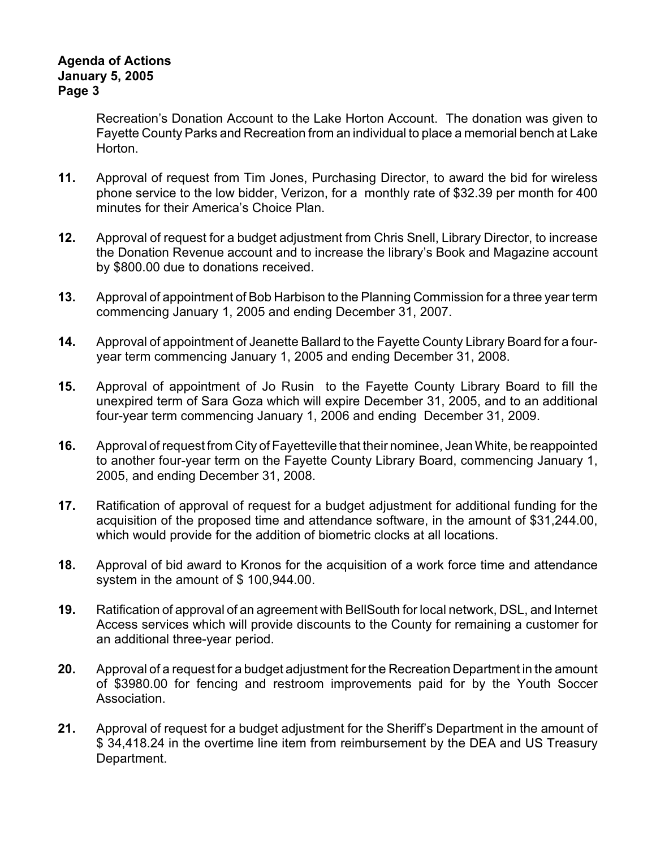# **Agenda of Actions January 5, 2005 Page 3**

Recreation's Donation Account to the Lake Horton Account. The donation was given to Fayette County Parks and Recreation from an individual to place a memorial bench at Lake Horton.

- **11.** Approval of request from Tim Jones, Purchasing Director, to award the bid for wireless phone service to the low bidder, Verizon, for a monthly rate of \$32.39 per month for 400 minutes for their America's Choice Plan.
- **12.** Approval of request for a budget adjustment from Chris Snell, Library Director, to increase the Donation Revenue account and to increase the library's Book and Magazine account by \$800.00 due to donations received.
- **13.** Approval of appointment of Bob Harbison to the Planning Commission for a three year term commencing January 1, 2005 and ending December 31, 2007.
- **14.** Approval of appointment of Jeanette Ballard to the Fayette County Library Board for a fouryear term commencing January 1, 2005 and ending December 31, 2008.
- **15.** Approval of appointment of Jo Rusin to the Fayette County Library Board to fill the unexpired term of Sara Goza which will expire December 31, 2005, and to an additional four-year term commencing January 1, 2006 and ending December 31, 2009.
- **16.** Approval of request from City of Fayetteville that their nominee, Jean White, be reappointed to another four-year term on the Fayette County Library Board, commencing January 1, 2005, and ending December 31, 2008.
- **17.** Ratification of approval of request for a budget adjustment for additional funding for the acquisition of the proposed time and attendance software, in the amount of \$31,244.00, which would provide for the addition of biometric clocks at all locations.
- **18.** Approval of bid award to Kronos for the acquisition of a work force time and attendance system in the amount of \$ 100,944.00.
- **19.** Ratification of approval of an agreement with BellSouth for local network, DSL, and Internet Access services which will provide discounts to the County for remaining a customer for an additional three-year period.
- **20.** Approval of a request for a budget adjustment for the Recreation Department in the amount of \$3980.00 for fencing and restroom improvements paid for by the Youth Soccer Association.
- **21.** Approval of request for a budget adjustment for the Sheriff's Department in the amount of \$ 34,418.24 in the overtime line item from reimbursement by the DEA and US Treasury Department.